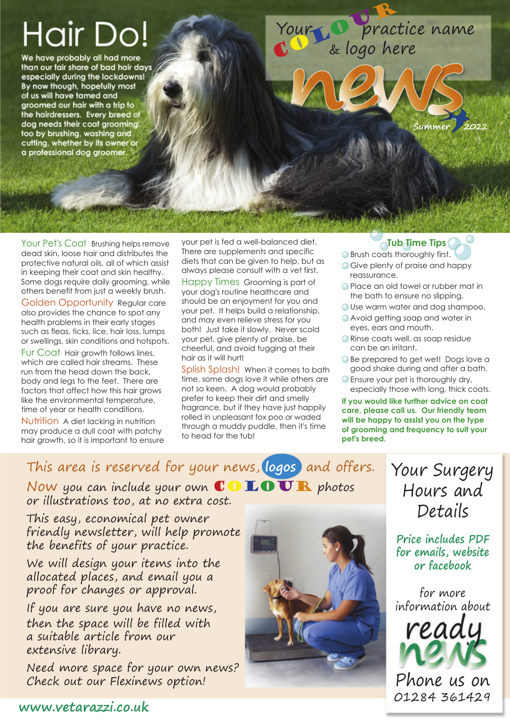# Hair Do!

We have probably all had more than our fair share of bad hair days especially during the lockdowns! By now though, hopefully most of us will have tamed and groomed our hair with a trip to the hairdressers. Every breed of dog needs their coat grooming too by brushing, washing and<br>cutting, whether by its owner or a professional dog groomer.

Your De pract Your O practice name & logo here

Your Pet's Coat Brushing helps remove dead skin, loose hair and distributes the protective natural oils, all of which assist in keeping their coat and skin healthy. Some dogs require daily grooming, while others benefit from just a weekly brush.

Golden Opportunity Regular care also provides the chance to spot any health problems in their early stages such as fleas, ticks, lice, hair loss, lumps or swellings, skin conditions and hotspots.

Fur Coat Hair growth follows lines, which are called hair streams. These run from the head down the back, body and legs to the feet. There are factors that affect how this hair grows like the environmental temperature, time of year or health conditions.

Nutrition A diet lacking in nutrition may produce a dull coat with patchy hair growth, so it is important to ensure your pet is fed a well-balanced diet. There are supplements and specific diets that can be given to help, but as always please consult with a vet first.

Happy Times Grooming is part of your dog's routine healthcare and should be an enjoyment for you and your pet. It helps build a relationship, and may even relieve stress for you both! Just take it slowly. Never scold your pet, give plenty of praise, be cheerful, and avoid tugging at their hair as it will hurt!

Splish Splash! When it comes to bath time, some dogs love it while others are not so keen. A dog would probably prefer to keep their dirt and smelly fragrance, but if they have just happily rolled in unpleasant fox poo or waded through a muddy puddle, then it's time to head for the tub!

#### **Tub Time Tips**

**Summer** 

- **Brush coats thoroughly first.**
- Give plenty of praise and happy reassurance.
- **Place an old towel or rubber mat in** the bath to ensure no slipping.
- Use warm water and dog shampoo.
- **Avoid getting soap and water in** eyes, ears and mouth.
- **Rinse coats well, as soap residue** can be an irritant.
- **Be prepared to get wet! Dogs love a** good shake during and after a bath.
- Ensure your pet is thoroughly dry, especially those with long, thick coats.

**If you would like further advice on coat care, please call us. Our friendly team will be happy to assist you on the type of grooming and frequency to suit your pet's breed.**

#### This area is reserved for your news, **logos** and offers.

Now you can include your own  $\mathbb{CD}$   $\mathbb{LD}$   $\overline{\mathbf{U}}$  R photos or illustrations too, at no extra cost.

This easy, economical pet owner friendly newsletter, will help promote the benefits of your practice.

We will design your items into the allocated places, and email you a proof for changes or approval.

If you are sure you have no news, then the space will be filled with a suitable article from our extensive library.

Need more space for your own news? Check out our Flexinews option!



Your Surgery Hours and Details

**Price includes PDF for emails, website or facebook**

for more information about



Phone us on 01284 361429 **www.vetarazzi.co.uk**